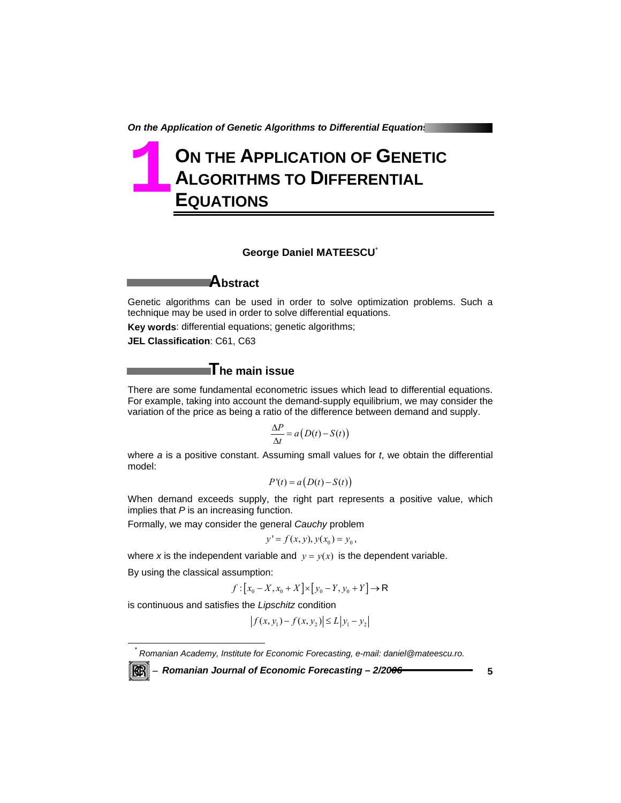*On the Application of Genetic Algorithms to Differential Equations* 

# **ON THE APPLICATION OF GENETIC ALGORITHMS TO DIFFERENTIAL EQUATIONS 1**

### **George Daniel MATEESCU**\*

**Abstract** 

Genetic algorithms can be used in order to solve optimization problems. Such a technique may be used in order to solve differential equations.

**Key words**: differential equations; genetic algorithms;

**JEL Classification**: C61, C63

# **The main issue**

There are some fundamental econometric issues which lead to differential equations. For example, taking into account the demand-supply equilibrium, we may consider the variation of the price as being a ratio of the difference between demand and supply.

$$
\frac{\Delta P}{\Delta t} = a\big(D(t) - S(t)\big)
$$

where *a* is a positive constant. Assuming small values for *t*, we obtain the differential model:

$$
P'(t) = a\big(D(t) - S(t)\big)
$$

When demand exceeds supply, the right part represents a positive value, which implies that *P* is an increasing function.

Formally, we may consider the general *Cauchy* problem

$$
y' = f(x, y), y(x_0) = y_0,
$$

where *x* is the independent variable and  $y = y(x)$  is the dependent variable.

By using the classical assumption:

*\**

KBI

$$
f:[x_0 - X, x_0 + X] \times [y_0 - Y, y_0 + Y] \to \mathsf{R}
$$

is continuous and satisfies the *Lipschitz* condition

$$
|f(x, y_1) - f(x, y_2)| \le L |y_1 - y_2|
$$

 *Romanian Academy, Institute for Economic Forecasting, e-mail: daniel@mateescu.ro.* 

<sup>−</sup> *Romanian Journal of Economic Forecasting – 2/2006* **5**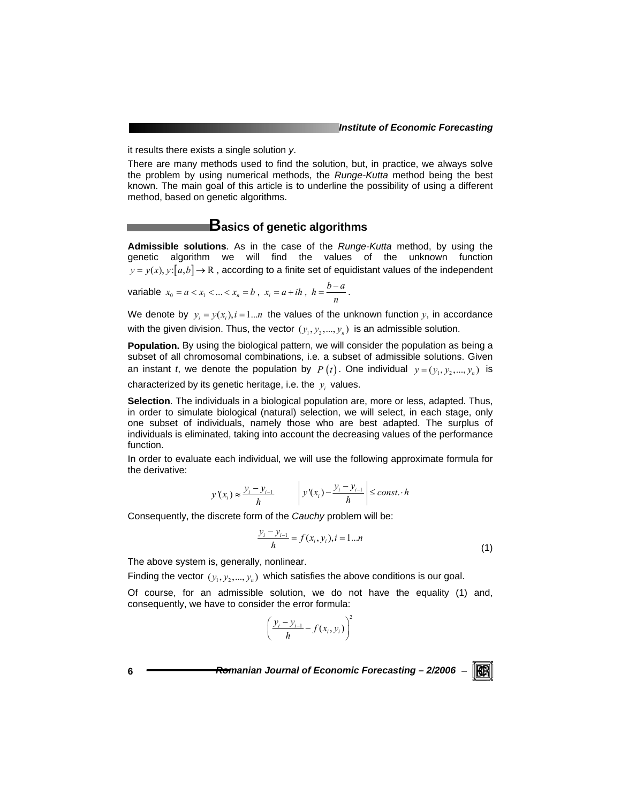it results there exists a single solution *y*.

There are many methods used to find the solution, but, in practice, we always solve the problem by using numerical methods, the *Runge-Kutta* method being the best known. The main goal of this article is to underline the possibility of using a different method, based on genetic algorithms.

### **Basics of genetic algorithms**

**Admissible solutions**. As in the case of the *Runge-Kutta* method, by using the genetic algorithm we will find the values of the unknown function  $y = y(x)$ ,  $y: [a, b] \rightarrow \mathbb{R}$ , according to a finite set of equidistant values of the independent

variable 
$$
x_0 = a < x_1 < \ldots < x_n = b
$$
,  $x_i = a + ih$ ,  $h = \frac{b - a}{n}$ .

We denote by  $y_i = y(x_i)$ ,  $i = 1...n$  the values of the unknown function y, in accordance with the given division. Thus, the vector  $(y_1, y_2, ..., y_n)$  is an admissible solution.

**Population.** By using the biological pattern, we will consider the population as being a subset of all chromosomal combinations, i.e. a subset of admissible solutions. Given an instant *t*, we denote the population by  $P(t)$ . One individual  $y = (y_1, y_2, ..., y_n)$  is characterized by its genetic heritage, i.e. the  $y_i$  values.

**Selection**. The individuals in a biological population are, more or less, adapted. Thus, in order to simulate biological (natural) selection, we will select, in each stage, only one subset of individuals, namely those who are best adapted. The surplus of individuals is eliminated, taking into account the decreasing values of the performance function.

In order to evaluate each individual, we will use the following approximate formula for the derivative:

$$
y'(x_i) \approx \frac{y_i - y_{i-1}}{h}
$$
  $y'(x_i) - \frac{y_i - y_{i-1}}{h}$   $\leq const \cdot h$ 

Consequently, the discrete form of the *Cauchy* problem will be:

$$
\frac{y_i - y_{i-1}}{h} = f(x_i, y_i), i = 1...n
$$
\n(1)

The above system is, generally, nonlinear.

Finding the vector  $(y_1, y_2, ..., y_n)$  which satisfies the above conditions is our goal.

Of course, for an admissible solution, we do not have the equality (1) and, consequently, we have to consider the error formula:

$$
\left(\frac{y_i - y_{i-1}}{h} - f(x_i, y_i)\right)^2
$$

**6** *Romanian Journal of Economic Forecasting – 2/2006* <sup>−</sup>

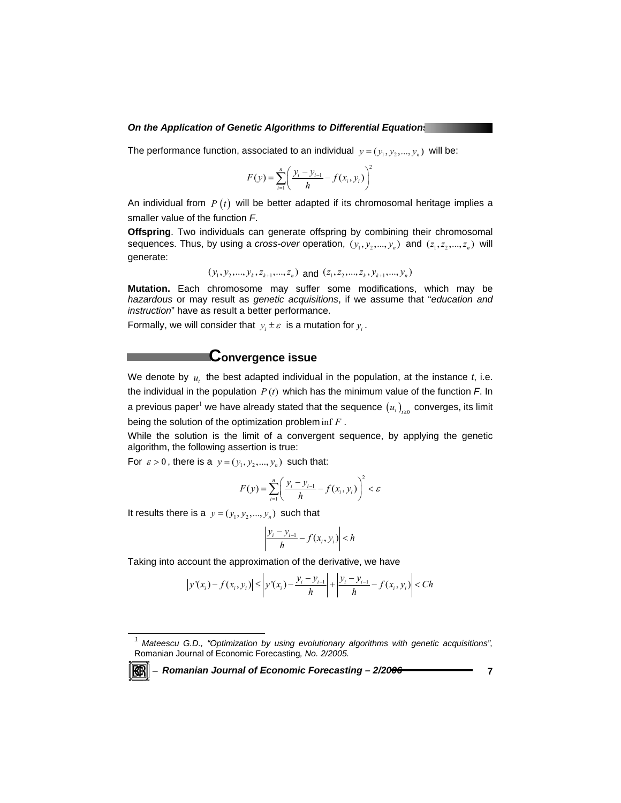#### *On the Application of Genetic Algorithms to Differential Equations*

The performance function, associated to an individual  $y = (y_1, y_2, ..., y_n)$  will be:

$$
F(y) = \sum_{i=1}^{n} \left( \frac{y_i - y_{i-1}}{h} - f(x_i, y_i) \right)^2
$$

An individual from *P* (*t*) will be better adapted if its chromosomal heritage implies a smaller value of the function *F*.

**Offspring**. Two individuals can generate offspring by combining their chromosomal sequences. Thus, by using a *cross-over* operation,  $(y_1, y_2, ..., y_n)$  and  $(z_1, z_2, ..., z_n)$  will generate:

$$
(y_1, y_2, ..., y_k, z_{k+1}, ..., z_n)
$$
 and  $(z_1, z_2, ..., z_k, y_{k+1}, ..., y_n)$ 

**Mutation.** Each chromosome may suffer some modifications, which may be *hazardous* or may result as *genetic acquisitions*, if we assume that "*education and instruction*" have as result a better performance.

Formally, we will consider that  $y_i \pm \varepsilon$  is a mutation for  $y_i$ .

# **Convergence issue**

We denote by  $u_i$ , the best adapted individual in the population, at the instance  $t_i$ , i.e. the individual in the population  $P(t)$  which has the minimum value of the function  $F$ . In a previous paper $^{\text{!}}$  we have already stated that the sequence  $\left(u_{\iota}\right)_{\iota\geq0}$  converges, its limit being the solution of the optimization problem inf *F* .

While the solution is the limit of a convergent sequence, by applying the genetic algorithm, the following assertion is true:

For  $\varepsilon > 0$ , there is a  $y = (y_1, y_2, ..., y_n)$  such that:

$$
F(y) = \sum_{i=1}^{n} \left( \frac{y_i - y_{i-1}}{h} - f(x_i, y_i) \right)^2 < \varepsilon
$$

It results there is a  $y = (y_1, y_2, ..., y_n)$  such that

$$
\left|\frac{y_i - y_{i-1}}{h} - f(x_i, y_i)\right| < h
$$

Taking into account the approximation of the derivative, we have

$$
\left| y'(x_i) - f(x_i, y_i) \right| \le \left| y'(x_i) - \frac{y_i - y_{i-1}}{h} \right| + \left| \frac{y_i - y_{i-1}}{h} - f(x_i, y_i) \right| < Ch
$$

<sup>−</sup> *Romanian Journal of Economic Forecasting – 2/2006* **7**

*1 Mateescu G.D., "Optimization by using evolutionary algorithms with genetic acquisitions",*  Romanian Journal of Economic Forecasting*, No. 2/2005.*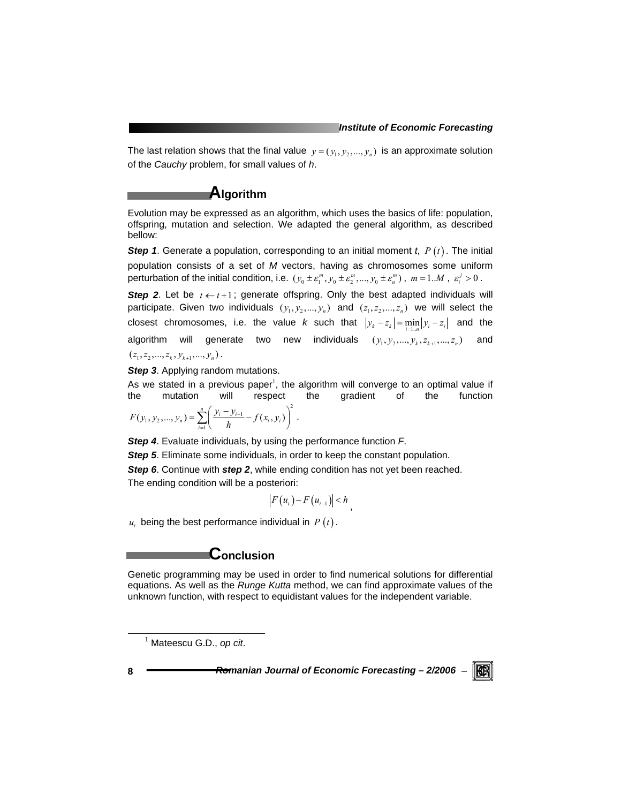The last relation shows that the final value  $y = (y_1, y_2, ..., y_n)$  is an approximate solution of the *Cauchy* problem, for small values of *h*.

### **Algorithm**

Evolution may be expressed as an algorithm, which uses the basics of life: population, offspring, mutation and selection. We adapted the general algorithm, as described bellow:

*Step 1*. Generate a population, corresponding to an initial moment *t*, *P* (*t*) . The initial population consists of a set of *M* vectors, having as chromosomes some uniform perturbation of the initial condition, i.e.  $(y_0 \pm \varepsilon_1^m, y_0 \pm \varepsilon_2^m, ..., y_0 \pm \varepsilon_n^m)$ ,  $m = 1..M$ ,  $\varepsilon_i^j > 0$ .

**Step 2.** Let be  $t \leftarrow t+1$ ; generate offspring. Only the best adapted individuals will participate. Given two individuals  $(y_1, y_2, ..., y_n)$  and  $(z_1, z_2, ..., z_n)$  we will select the closest chromosomes, i.e. the value *k* such that  $|y_k - z_k| = \min_i |y_i - z_i|$  and the algorithm will generate two new individuals  $(y_1, y_2, ..., y_k, z_{k+1}, ..., z_n)$  and  $(z_1, z_2, \ldots, z_k, y_{k+1}, \ldots, y_n)$ .

**Step 3.** Applying random mutations.

As we stated in a previous paper<sup>1</sup>, the algorithm will converge to an optimal value if the mutation will respect the gradient of the function  $\ddot{\phantom{2}}$ 

$$
F(y_1, y_2, ..., y_n) = \sum_{i=1}^n \left( \frac{y_i - y_{i-1}}{h} - f(x_i, y_i) \right)^2.
$$

*Step 4*. Evaluate individuals, by using the performance function *F*.

*Step 5*. Eliminate some individuals, in order to keep the constant population.

**Step 6**. Continue with *step 2*, while ending condition has not yet been reached. The ending condition will be a posteriori:

 $|F(u_{t}) - F(u_{t-1})| < h$ 

 $u_t$  being the best performance individual in  $P(t)$ .

## **Conclusion**

Genetic programming may be used in order to find numerical solutions for differential equations. As well as the *Runge Kutta* method, we can find approximate values of the unknown function, with respect to equidistant values for the independent variable.

8 **1 Romanian Journal of Economic Forecasting – 2/2006 −** 



 $\overline{\phantom{0}}$  1 Mateescu G.D., *op cit*.